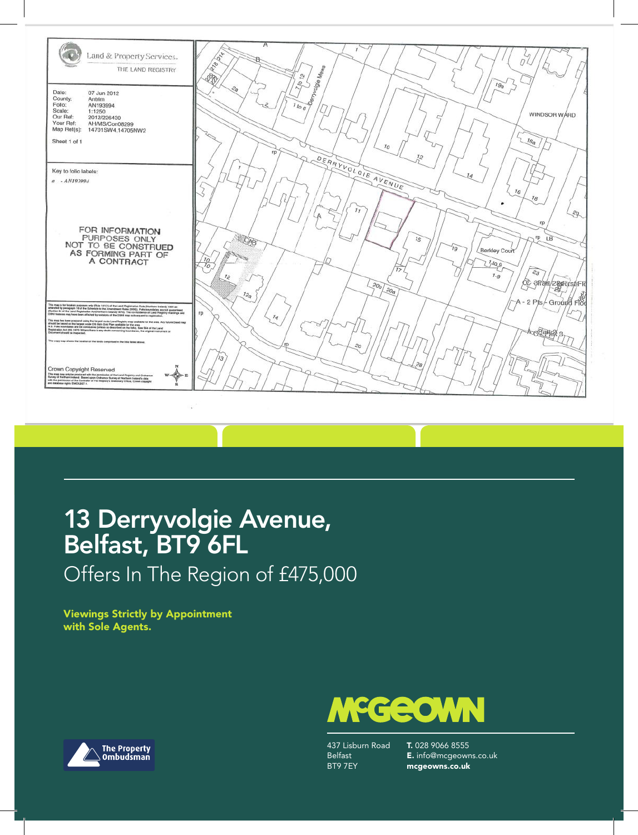

## 13 Derryvolgie Avenue, Belfast, BT9 6FL

Offers In The Region of £475,000

Viewings Strictly by Appointment with Sole Agents.





437 Lisburn Road Belfast BT9 7EY

T. 028 9066 8555 E. info@mcgeowns.co.uk mcgeowns.co.uk